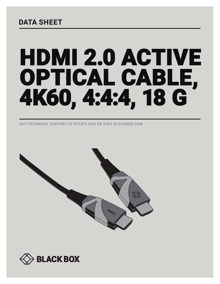# **DATA SHEET**

# HDMI 2.0 ACTIVE OPTICAL CABLE, 4K60, 4:4:4, 18 G

24/7 TECHNICAL SUPPORT AT 877.877.2269 OR VISIT BLACKBOX.COM



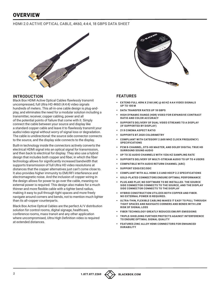## **OVERVIEW**

#### HDMI 2.0 ACTIVE OPTICAL CABLE, 4K60, 4:4:4, 18 GBPS DATA SHEET



#### **INTRODUCTION**

Black Box HDMI Active Optical Cables flawlessly transmit uncompressed, full Ultra HD 4K60 (4:4:4) video signals hundreds of meters. This all-in-one cable design is plug-andplay, and eliminates the need for a modular solution including a transmitter, receiver, copper cabling, power and all of the potential points of failure that come with it. Simply connect the cable between your source and display like a standard copper cable and leave it to flawlessly transmit your audio/video signal without worry of signal loss or degradation. The cable is unidirectional: the source side connector connects to the source, and the display side connects to the display.

Built-in technology inside the connectors actively converts the electrical HDMI signal into an optical signal for transmission, and then back to electrical for display. They also use a hybrid design that includes both copper and fiber, in which the fiber technology allows for significantly increased bandwidth that supports transmission of full Ultra HD video resolutions at distances that the copper alternatives just can't come close to. It also provides higher immunity to EMI/RFI interference and electromagnetic noise. And the inclusion of copper wiring in the design allows for power to go over the cable, meaning no external power is required. This design also makes for a much thinner and more flexible cable with a tighter bend radius, making it easy to pull through tight spaces and more freely navigate around corners and bends, not to mention much lighter than its all-copper counterparts.

Black Box Active Optical Cables are the perfect A/V distribution solution for control rooms, digital signage, healthcare, conference rooms, mass transit and any other application where uncompromised. Ultra High Definition video is required at extended distances.



#### **FEATURES**

- § **EXTEND FULL 4096 X 2160 (4K) @ 60 HZ 4:4:4 VIDEO SIGNALS UP TO 100 M**
- § **DATA TRANSFER RATES UP 18 GBPS**
- § **HIGH DYNAMIC RANGE (HDR) VIDEO FOR EXPANSIVE CONTRAST RATIO AND COLOR ACCURACY**
- § **SUPPORTS DELIVERY OF DUAL VIDEO STREAMS TO A DISPLAY (IF SUPPORTED BY DISPLAY)**
- § **21:9 CINEMA ASPECT RATIO**
- § **SUPPORTS BT.2020 COLORIMETRY**
- § **COMPLIANT WITH CATEGORY 2 (600 MHZ CLOCK FREQUENCY) SPECIFICATIONS**
- § **PCM 8-CHANNEL, DTS-HD MASTER, AND DOLBY DIGITAL TRUE HD SURROUND SOUND AUDIO**
- § **UP TO 32 AUDIO CHANNELS WITH 1536 HZ SAMPLING RATE**
- § **SUPPORTS DELIVERY OF MULTI-STREAM AUDIO TO UP TO 4 USERS**
- § **COMPATIBLE WITH AUDIO RETURN CHANNEL (ARC)**
- § **SUPPORT EDID/CEC/DDC**
- § **COMPLIANT WITH ALL HDMI 2.0 AND HDCP 2.2 SPECIFICATIONS**
- § **GOLD-PLATED CONNECTORS ENSURE OPTIMAL PERFORMANCE**
- § **PLUG AND PLAY, NO SOFTWARE TO BE INSTALLED. THE SOURCE SIDE CONNECTOR CONNECTS TO THE SOURCE, AND THE DISPLAY SIDE CONNECTOR CONNECTS TO THE DISPLAY**
- **HYBRID CONSTRUCTION UTILIZES BOTH COPPER AND FIBER. NO EXTERNAL POWER IS REQUIRED.**
- § **ULTRA-THIN, FLEXIBLE CABLING MAKES IT EASY TO PULL THROUGH TIGHT SPACES AND NAVIGATE CORNERS AND BENDS WITH LOW RISK OF SIGNAL LOSS**
- § **FIBER TECHNOLOGY GREATLY REDUCES EMI/RFI EMISSIONS**
- § **TRIPLE-SHIELDING FURTHER PROTECTS AGAINST INTERFERENCE TO ENSURE OPTIMAL SIGNAL QUALITY**
- § **FEATURES ZINC ALLOY HDMI CONNECTORS FOR ENHANCED DURABILITY**